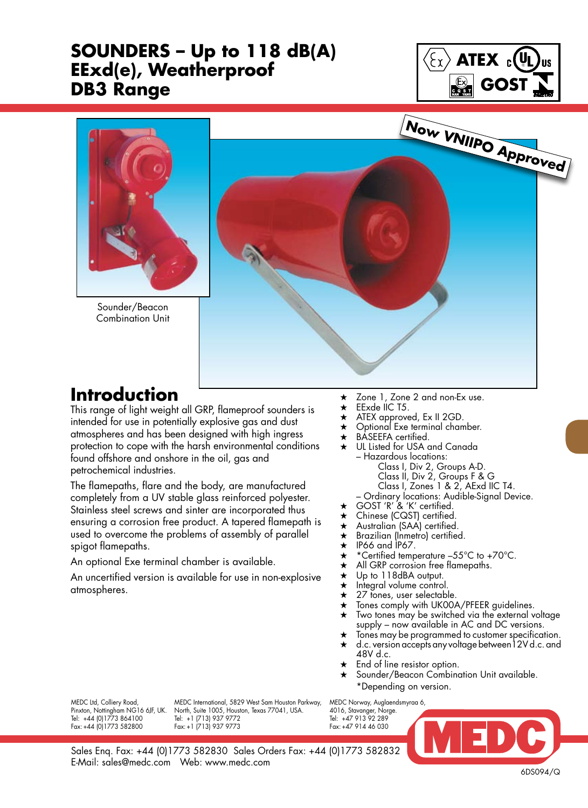## **SOUNDERS – Up to 118 dB(A) EExd(e), Weatherproof DB3 Range**





Sounder/Beacon Combination Unit



## **Introduction**

This range of light weight all GRP, flameproof sounders is intended for use in potentially explosive gas and dust atmospheres and has been designed with high ingress protection to cope with the harsh environmental conditions found offshore and onshore in the oil, gas and petrochemical industries.

The flamepaths, flare and the body, are manufactured completely from a UV stable glass reinforced polyester. Stainless steel screws and sinter are incorporated thus ensuring a corrosion free product. A tapered flamepath is used to overcome the problems of assembly of parallel spigot flamepaths.

An optional Exe terminal chamber is available.

An uncertified version is available for use in non-explosive atmospheres.

- $\star$  Zone 1, Zone 2 and non-Ex use.
- $\star$  EExde IIC T5.
- $\star$  ATEX approved, Ex II 2GD.<br>  $\star$  Optional Exe terminal cham
- Optional Exe terminal chamber.
- $\star$  BASEEFA certified.<br> $\star$  ULL Listed for USA c
- UL Listed for USA and Canada – Hazardous locations:
	- Class I, Div 2, Groups A-D.
		- Class II, Div 2, Groups F & G
		- Class I, Zones 1 & 2, AExd IIC T4.
	- Ordinary locations: Audible-Signal Device.
- ★ GOST 'R' & 'K' certified.
- $\star$  Chinese (CQST) certified.
- $\star$  Australian (SAA) certified.<br>  $\star$  Brazilian (Inmetro) certified
- $\star$  Brazilian (Inmetro) certified.<br>  $\star$  IP66 and IP67.
- $\star$  IP66 and IP67.<br> $\star$  \*Certified temp
- $\star$  \*Certified temperature –55°C to +70°C.<br>  $\star$  All GRP corrosion free flamenaths.
- $\star$  All GRP corrosion free flamepaths.<br>  $\star$  Up to 118dBA output.
- Up to 118dBA output.
- $\star$  Integral volume control.
- $\star$  27 tones, user selectable.
- $\star$  Tones comply with UK00A/PFEER guidelines.<br> $\star$  Two tones may be switched via the external v
- Two tones may be switched via the external voltage supply – now available in AC and DC versions.
- $\star$  Tones may be programmed to customer specification.<br>  $\star$  d.c. version accepts any voltage between 12V d.c. and d.c. version accepts any voltage between 12V d.c. and 48V d.c.
- $\star$  End of line resistor option.
- Sounder/Beacon Combination Unit available. \*Depending on version.

Fax: +44 (0) 1773 582800

MEDC Ltd, Colliery Road, MEDC International, 5829 West Sam Houston Parkway, MEDC Norway, Auglaendsmyraa 6,<br>Pinxton, Nottingham NG16 6JF, UK. North, Suite 1005, Houston, Texas 77041, USA. 4016, Stavanger, Norge. Pinth, Suite 1005, Houston, Texas 77041, USA. 4016, Stavanger, North, Suite 1005, Houston, Texas 77041, USA. 4016, Stavanger, Norge. Tel: +44 (0)1773 864100 Tel: +1 (713) 937 9772 Tel: +47 913 92 289

6DS094/Q